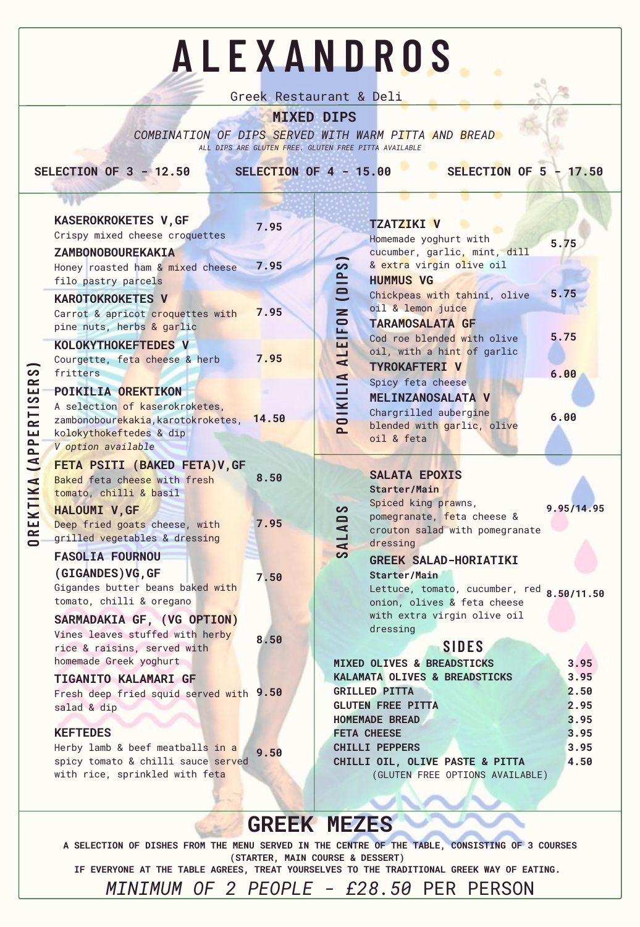salad & dip

#### **KEFTEDES**

| <b>APPERTISERS</b><br>OREKTIKA | <b>KASEROKROKETES V, GF</b>                                                                                                                       | 7.95 |  |
|--------------------------------|---------------------------------------------------------------------------------------------------------------------------------------------------|------|--|
|                                | Crispy mixed cheese croquettes                                                                                                                    |      |  |
|                                | ZAMBONOBOUREKAKIA<br>Honey roasted ham & mixed cheese<br>filo pastry parcels                                                                      | 7.95 |  |
|                                | <b>KAROTOKROKETES V</b><br>Carrot & apricot croquettes with<br>pine nuts, herbs & garlic                                                          | 7.95 |  |
|                                | <b>KOLOKYTHOKEFTEDES V</b><br>Courgette, feta cheese & herb<br>fritters                                                                           | 7.95 |  |
|                                | POIKILIA OREKTIKON<br>A selection of kaserokroketes,<br>zambonobourekakia, karotokroketes, 14.50<br>kolokythokeftedes & dip<br>V option available |      |  |
|                                | FETA PSITI (BAKED FETA) V, GF<br>Baked feta cheese with fresh<br>tomato, chilli & basil                                                           | 8.50 |  |
|                                | HALOUMI V, GF<br>Deep fried goats cheese, with<br>grilled vegetables & dressing                                                                   | 7.95 |  |
|                                | <b>FASOLIA FOURNOU</b>                                                                                                                            |      |  |
|                                | (GIGANDES) VG, GF<br>Gigandes butter beans baked with<br>tomato, chilli & oregano                                                                 | 7.50 |  |
|                                | SARMADAKIA GF, (VG OPTION)                                                                                                                        |      |  |
|                                | Vines leaves stuffed with herby<br>rice & raisins, served with<br>homemade Greek yoghurt                                                          | 8.50 |  |
|                                | <b>TIGANITO KALAMARI GF</b>                                                                                                                       |      |  |
|                                | Fresh deep fried squid served with 9.50                                                                                                           |      |  |

Herby lamb & beef meatballs in a spicy tomato & chilli sauce served with rice, sprinkled with feta **9.50**

### **MIXED DIPS**

*COMBINATION OF DIPS SERVED WITH WARM PITTA AND BREAD ALL DIPS ARE GLUTEN FREE. GLUTEN FREE PITTA AVAILABLE*

**SELECTION OF 3 - 12.50 SELECTION OF 4 - 15.00 SELECTION OF 5 - 17.50**

|                         | <b>TZATZIKI V</b>                                     |            |
|-------------------------|-------------------------------------------------------|------------|
|                         | Homemade yoghurt with<br>cucumber, garlic, mint, dill | 5.75       |
|                         | & extra virgin olive oil                              |            |
|                         | <b>HUMMUS VG</b>                                      |            |
|                         | Chickpeas with tahini, olive                          | 5.75       |
|                         | oil & lemon juice                                     |            |
|                         | <b>TARAMOSALATA GF</b>                                |            |
|                         | Cod roe blended with olive                            | 5.75       |
|                         | oil, with a hint of garlic                            |            |
|                         | <b>TYROKAFTERI V</b>                                  | 6.00       |
|                         | Spicy feta cheese                                     |            |
| POIKILIA ALEIFON (DIPS) | <b>MELINZANOSALATA V</b>                              |            |
|                         | Chargrilled aubergine                                 | 6.00       |
|                         | blended with garlic, olive                            |            |
|                         | oil & feta                                            |            |
|                         |                                                       |            |
|                         |                                                       |            |
|                         | <b>SALATA EPOXIS</b>                                  |            |
|                         | <b>Starter/Main</b>                                   |            |
|                         | Spiced king prawns,                                   |            |
|                         | pomegranate, feta cheese &                            | 9.95/14.95 |
|                         | crouton salad with pomegranate                        |            |
|                         | dressing                                              |            |
| SALADS                  | <b>GREEK SALAD-HORIATIKI</b>                          |            |
|                         | <b>Starter/Main</b>                                   |            |
|                         | Lettuce, tomato, cucumber, red                        |            |
|                         | onion, olives & feta cheese                           | 8.50/11.50 |
|                         | with extra virgin olive oil                           |            |
|                         | dressing                                              |            |
|                         | SIDES                                                 |            |
|                         | <b>MIXED OLIVES &amp; BREADSTICKS</b>                 | 3.95       |
|                         | KALAMATA OLIVES & BREADSTICKS                         | 3.95       |

# **A L E X A N D R O S**

Greek Restaurant & Deli

**REKT IK A( APPERT I S ERS)**

## **GREEK MEZES**

**A SELECTION OF DISHES FROM THE MENU SERVED IN THE CENTRE OF THE TABLE, CONSISTING OF 3 COURSES (STARTER, MAIN COURSE & DESSERT) IF EVERYONE AT THE TABLE AGREES, TREAT YOURSELVES TO THE TRADITIONAL GREEK WAY OF EATING.** *MINIMUM OF 2 PEOPLE - £28.50* PER PERSON

| <b>GLUTEN FREE PITTA</b>        |      |  |
|---------------------------------|------|--|
| <b>HOMEMADE BREAD</b>           |      |  |
| <b>FETA CHEESE</b>              | 3.95 |  |
| <b>CHILLI PEPPERS</b>           | 3.95 |  |
| CHILLI OIL, OLIVE PASTE & PITTA | 4.50 |  |
| (GLUTEN FREE OPTIONS AVAILABLE) |      |  |